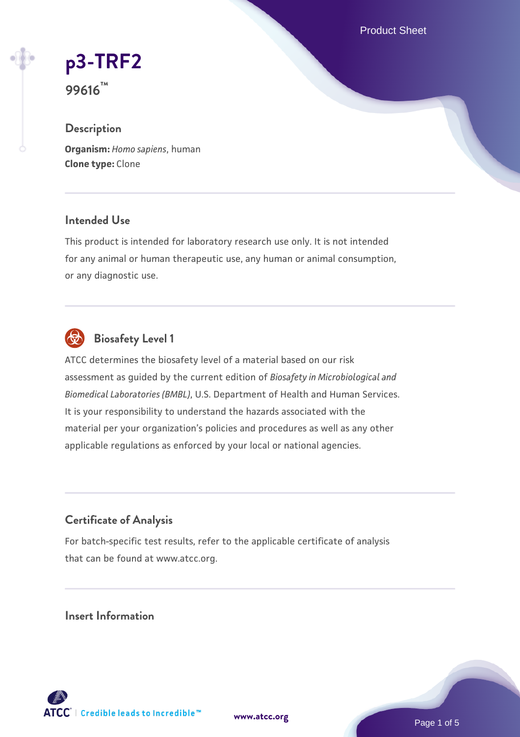Product Sheet

# **[p3-TRF2](https://www.atcc.org/products/99616)**

**99616™**

# **Description**

**Organism:** *Homo sapiens*, human **Clone type:** Clone

## **Intended Use**

This product is intended for laboratory research use only. It is not intended for any animal or human therapeutic use, any human or animal consumption, or any diagnostic use.



# **Biosafety Level 1**

ATCC determines the biosafety level of a material based on our risk assessment as guided by the current edition of *Biosafety in Microbiological and Biomedical Laboratories (BMBL)*, U.S. Department of Health and Human Services. It is your responsibility to understand the hazards associated with the material per your organization's policies and procedures as well as any other applicable regulations as enforced by your local or national agencies.

# **Certificate of Analysis**

For batch-specific test results, refer to the applicable certificate of analysis that can be found at www.atcc.org.

# **Insert Information**

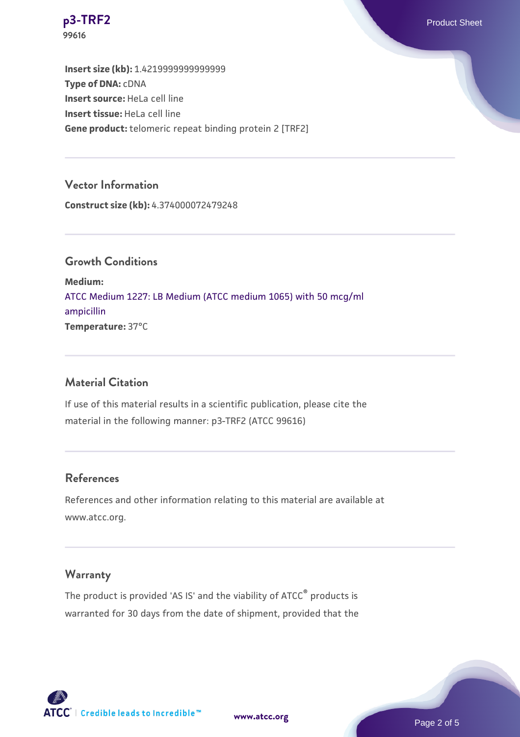

**Insert size (kb):** 1.4219999999999999 **Type of DNA:** cDNA **Insert source:** HeLa cell line **Insert tissue:** HeLa cell line **Gene product:** telomeric repeat binding protein 2 [TRF2]

#### **Vector Information**

**Construct size (kb):** 4.374000072479248

**Growth Conditions Medium:**  [ATCC Medium 1227: LB Medium \(ATCC medium 1065\) with 50 mcg/ml](https://www.atcc.org/-/media/product-assets/documents/microbial-media-formulations/1/2/2/7/atcc-medium-1227.pdf?rev=581c98603b3e4b29a6d62ee0ba9ca578) [ampicillin](https://www.atcc.org/-/media/product-assets/documents/microbial-media-formulations/1/2/2/7/atcc-medium-1227.pdf?rev=581c98603b3e4b29a6d62ee0ba9ca578) **Temperature:** 37°C

#### **Material Citation**

If use of this material results in a scientific publication, please cite the material in the following manner: p3-TRF2 (ATCC 99616)

#### **References**

References and other information relating to this material are available at www.atcc.org.

## **Warranty**

The product is provided 'AS IS' and the viability of ATCC® products is warranted for 30 days from the date of shipment, provided that the

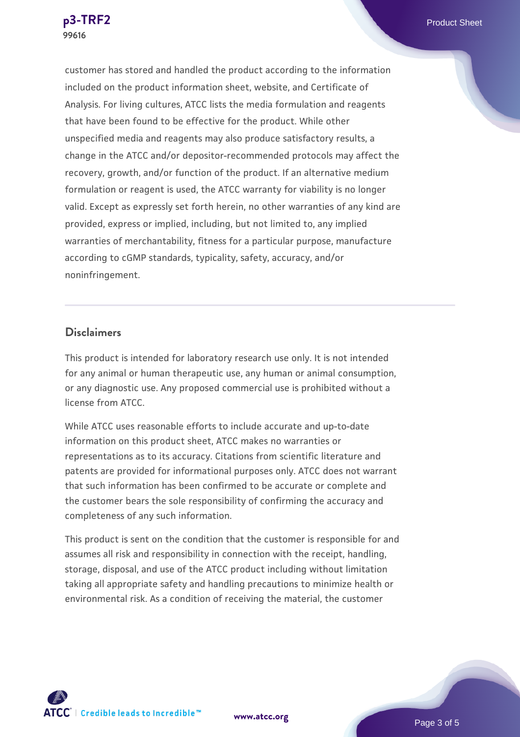customer has stored and handled the product according to the information included on the product information sheet, website, and Certificate of Analysis. For living cultures, ATCC lists the media formulation and reagents that have been found to be effective for the product. While other unspecified media and reagents may also produce satisfactory results, a change in the ATCC and/or depositor-recommended protocols may affect the recovery, growth, and/or function of the product. If an alternative medium formulation or reagent is used, the ATCC warranty for viability is no longer valid. Except as expressly set forth herein, no other warranties of any kind are provided, express or implied, including, but not limited to, any implied warranties of merchantability, fitness for a particular purpose, manufacture according to cGMP standards, typicality, safety, accuracy, and/or noninfringement.

#### **Disclaimers**

This product is intended for laboratory research use only. It is not intended for any animal or human therapeutic use, any human or animal consumption, or any diagnostic use. Any proposed commercial use is prohibited without a license from ATCC.

While ATCC uses reasonable efforts to include accurate and up-to-date information on this product sheet, ATCC makes no warranties or representations as to its accuracy. Citations from scientific literature and patents are provided for informational purposes only. ATCC does not warrant that such information has been confirmed to be accurate or complete and the customer bears the sole responsibility of confirming the accuracy and completeness of any such information.

This product is sent on the condition that the customer is responsible for and assumes all risk and responsibility in connection with the receipt, handling, storage, disposal, and use of the ATCC product including without limitation taking all appropriate safety and handling precautions to minimize health or environmental risk. As a condition of receiving the material, the customer

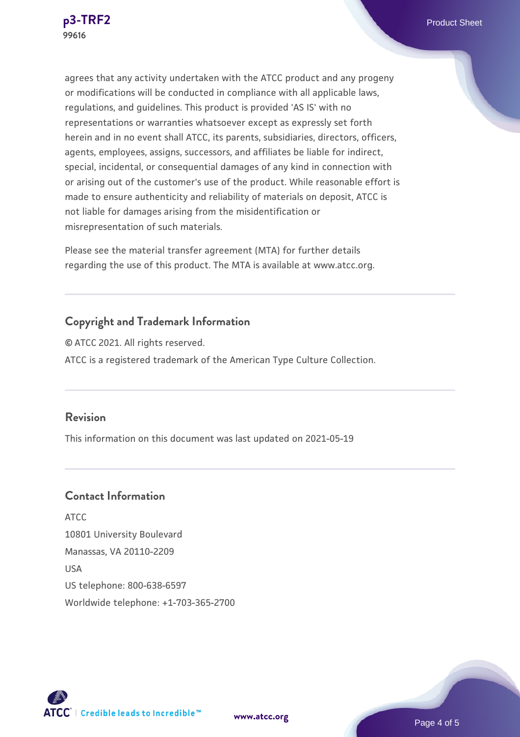agrees that any activity undertaken with the ATCC product and any progeny or modifications will be conducted in compliance with all applicable laws, regulations, and guidelines. This product is provided 'AS IS' with no representations or warranties whatsoever except as expressly set forth herein and in no event shall ATCC, its parents, subsidiaries, directors, officers, agents, employees, assigns, successors, and affiliates be liable for indirect, special, incidental, or consequential damages of any kind in connection with or arising out of the customer's use of the product. While reasonable effort is made to ensure authenticity and reliability of materials on deposit, ATCC is not liable for damages arising from the misidentification or misrepresentation of such materials.

Please see the material transfer agreement (MTA) for further details regarding the use of this product. The MTA is available at www.atcc.org.

#### **Copyright and Trademark Information**

© ATCC 2021. All rights reserved. ATCC is a registered trademark of the American Type Culture Collection.

#### **Revision**

This information on this document was last updated on 2021-05-19

#### **Contact Information**

ATCC 10801 University Boulevard Manassas, VA 20110-2209 USA US telephone: 800-638-6597 Worldwide telephone: +1-703-365-2700